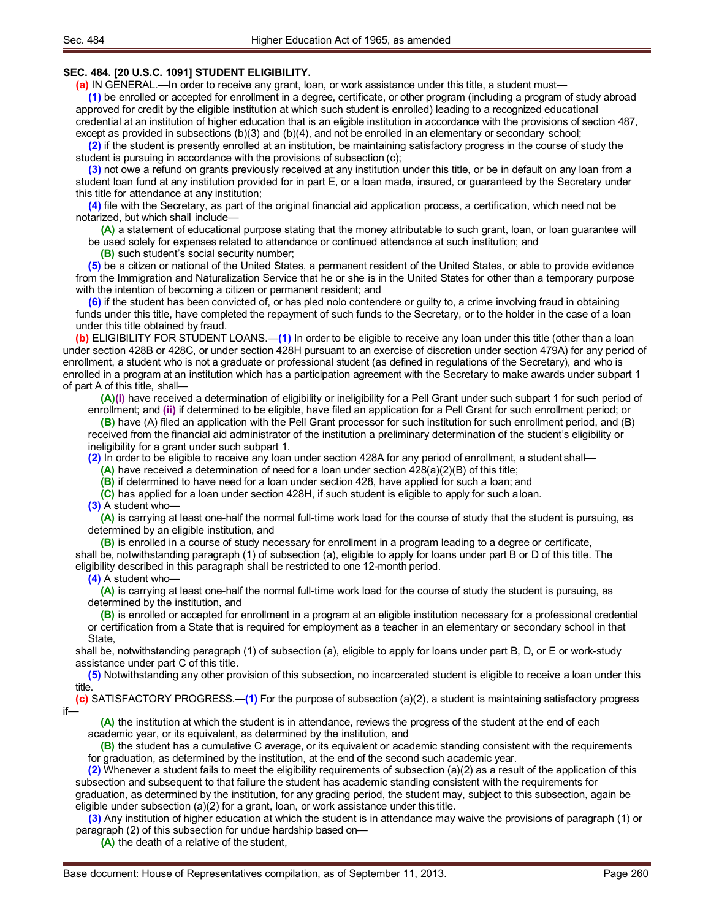## **SEC. 484. [20 U.S.C. 1091] STUDENT ELIGIBILITY.**

**(a)** IN GENERAL.—In order to receive any grant, loan, or work assistance under this title, a student must—

**(1)** be enrolled or accepted for enrollment in a degree, certificate, or other program (including a program of study abroad approved for credit by the eligible institution at which such student is enrolled) leading to a recognized educational credential at an institution of higher education that is an eligible institution in accordance with the provisions of section 487, except as provided in subsections (b)(3) and (b)(4), and not be enrolled in an elementary or secondary school;

**(2)** if the student is presently enrolled at an institution, be maintaining satisfactory progress in the course of study the student is pursuing in accordance with the provisions of subsection (c);

**(3)** not owe a refund on grants previously received at any institution under this title, or be in default on any loan from a student loan fund at any institution provided for in part E, or a loan made, insured, or guaranteed by the Secretary under this title for attendance at any institution;

**(4)** file with the Secretary, as part of the original financial aid application process, a certification, which need not be notarized, but which shall include—

**(A)** a statement of educational purpose stating that the money attributable to such grant, loan, or loan guarantee will be used solely for expenses related to attendance or continued attendance at such institution; and

**(B)** such student's social security number;

**(5)** be a citizen or national of the United States, a permanent resident of the United States, or able to provide evidence from the Immigration and Naturalization Service that he or she is in the United States for other than a temporary purpose with the intention of becoming a citizen or permanent resident; and

**(6)** if the student has been convicted of, or has pled nolo contendere or guilty to, a crime involving fraud in obtaining funds under this title, have completed the repayment of such funds to the Secretary, or to the holder in the case of a loan under this title obtained by fraud.

**(b)** ELIGIBILITY FOR STUDENT LOANS.—**(1)** In order to be eligible to receive any loan under this title (other than a loan under section 428B or 428C, or under section 428H pursuant to an exercise of discretion under section 479A) for any period of enrollment, a student who is not a graduate or professional student (as defined in regulations of the Secretary), and who is enrolled in a program at an institution which has a participation agreement with the Secretary to make awards under subpart 1 of part A of this title, shall—

**(A)(i)** have received a determination of eligibility or ineligibility for a Pell Grant under such subpart 1 for such period of enrollment; and **(ii)** if determined to be eligible, have filed an application for a Pell Grant for such enrollment period; or

**(B)** have (A) filed an application with the Pell Grant processor for such institution for such enrollment period, and (B) received from the financial aid administrator of the institution a preliminary determination of the student's eligibility or ineligibility for a grant under such subpart 1.

**(2)** In order to be eligible to receive any loan under section 428A for any period of enrollment, a student shall—

**(A)** have received a determination of need for a loan under section 428(a)(2)(B) of this title;

**(B)** if determined to have need for a loan under section 428, have applied for such a loan; and

**(C)** has applied for a loan under section 428H, if such student is eligible to apply for such aloan.

**(3)** A student who—

**(A)** is carrying at least one-half the normal full-time work load for the course of study that the student is pursuing, as determined by an eligible institution, and

**(B)** is enrolled in a course of study necessary for enrollment in a program leading to a degree or certificate, shall be, notwithstanding paragraph (1) of subsection (a), eligible to apply for loans under part B or D of this title. The eligibility described in this paragraph shall be restricted to one 12-month period.

## **(4)** A student who—

**(A)** is carrying at least one-half the normal full-time work load for the course of study the student is pursuing, as determined by the institution, and

**(B)** is enrolled or accepted for enrollment in a program at an eligible institution necessary for a professional credential or certification from a State that is required for employment as a teacher in an elementary or secondary school in that State,

shall be, notwithstanding paragraph (1) of subsection (a), eligible to apply for loans under part B, D, or E or work-study assistance under part C of this title.

**(5)** Notwithstanding any other provision of this subsection, no incarcerated student is eligible to receive a loan under this title.

**(c)** SATISFACTORY PROGRESS.—**(1)** For the purpose of subsection (a)(2), a student is maintaining satisfactory progress if—

**(A)** the institution at which the student is in attendance, reviews the progress of the student at the end of each academic year, or its equivalent, as determined by the institution, and

**(B)** the student has a cumulative C average, or its equivalent or academic standing consistent with the requirements for graduation, as determined by the institution, at the end of the second such academic year.

**(2)** Whenever a student fails to meet the eligibility requirements of subsection (a)(2) as a result of the application of this subsection and subsequent to that failure the student has academic standing consistent with the requirements for

graduation, as determined by the institution, for any grading period, the student may, subject to this subsection, again be eligible under subsection  $(a)(2)$  for a grant, loan, or work assistance under this title.

**(3)** Any institution of higher education at which the student is in attendance may waive the provisions of paragraph (1) or paragraph (2) of this subsection for undue hardship based on—

**(A)** the death of a relative of the student,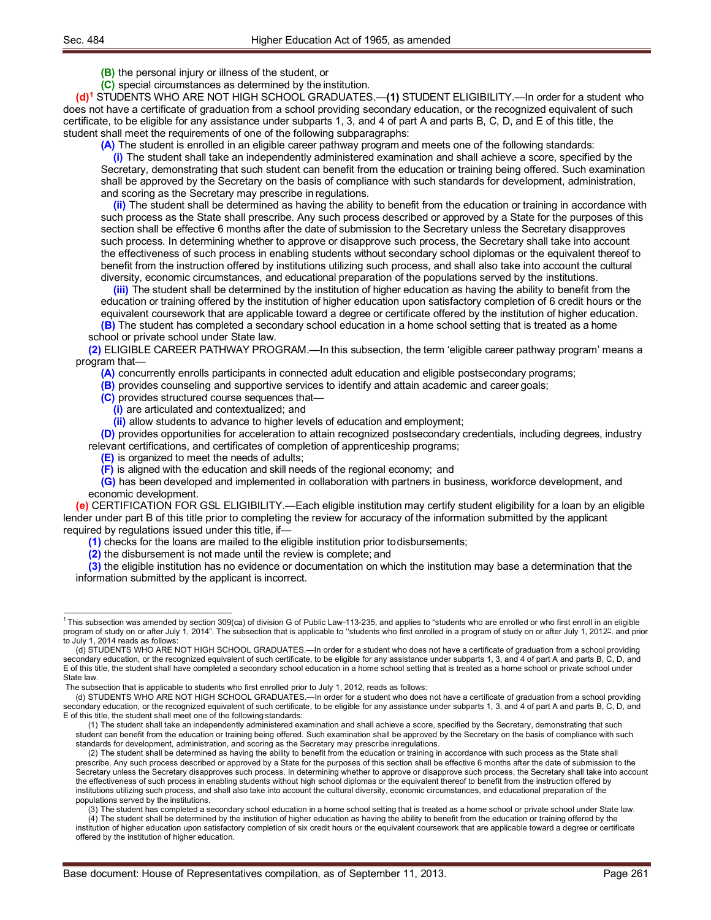**(B)** the personal injury or illness of the student, or

**(C)** special circumstances as determined by the institution.

**(d)1** STUDENTS WHO ARE NOT HIGH SCHOOL GRADUATES.—**(1)** STUDENT ELIGIBILITY.—In order for a student who does not have a certificate of graduation from a school providing secondary education, or the recognized equivalent of such certificate, to be eligible for any assistance under subparts 1, 3, and 4 of part A and parts B, C, D, and E of this title, the student shall meet the requirements of one of the following subparagraphs:

**(A)** The student is enrolled in an eligible career pathway program and meets one of the following standards:

**(i)** The student shall take an independently administered examination and shall achieve a score, specified by the Secretary, demonstrating that such student can benefit from the education or training being offered. Such examination shall be approved by the Secretary on the basis of compliance with such standards for development, administration, and scoring as the Secretary may prescribe in regulations.

**(ii)** The student shall be determined as having the ability to benefit from the education or training in accordance with such process as the State shall prescribe. Any such process described or approved by a State for the purposes of this section shall be effective 6 months after the date of submission to the Secretary unless the Secretary disapproves such process. In determining whether to approve or disapprove such process, the Secretary shall take into account the effectiveness of such process in enabling students without secondary school diplomas or the equivalent thereof to benefit from the instruction offered by institutions utilizing such process, and shall also take into account the cultural diversity, economic circumstances, and educational preparation of the populations served by the institutions.

**(iii)** The student shall be determined by the institution of higher education as having the ability to benefit from the education or training offered by the institution of higher education upon satisfactory completion of 6 credit hours or the equivalent coursework that are applicable toward a degree or certificate offered by the institution of higher education.

**(B)** The student has completed a secondary school education in a home school setting that is treated as a home school or private school under State law.

**(2)** ELIGIBLE CAREER PATHWAY PROGRAM.—In this subsection, the term 'eligible career pathway program' means a program that—

**(A)** concurrently enrolls participants in connected adult education and eligible postsecondary programs;

**(B)** provides counseling and supportive services to identify and attain academic and career goals;

**(C)** provides structured course sequences that—

**(i)** are articulated and contextualized; and

**(ii)** allow students to advance to higher levels of education and employment;

**(D)** provides opportunities for acceleration to attain recognized postsecondary credentials, including degrees, industry relevant certifications, and certificates of completion of apprenticeship programs;

**(E)** is organized to meet the needs of adults;

**(F)** is aligned with the education and skill needs of the regional economy; and

**(G)** has been developed and implemented in collaboration with partners in business, workforce development, and economic development.

**(e)** CERTIFICATION FOR GSL ELIGIBILITY.—Each eligible institution may certify student eligibility for a loan by an eligible lender under part B of this title prior to completing the review for accuracy of the information submitted by the applicant required by regulations issued under this title, if—

**(1)** checks for the loans are mailed to the eligible institution prior todisbursements;

**(2)** the disbursement is not made until the review is complete; and

**(3)** the eligible institution has no evidence or documentation on which the institution may base a determination that the information submitted by the applicant is incorrect.

(3) The student has completed a secondary school education in a home school setting that is treated as a home school or private school under State law. (4) The student shall be determined by the institution of higher education as having the ability to benefit from the education or training offered by the institution of higher education upon satisfactory completion of six credit hours or the equivalent coursework that are applicable toward a degree or certificate

 $1$ This subsection was amended by section 309(ca) of division G of Public Law-113-235, and applies to "students who are enrolled or who first enroll in an eligible program of study on or after July 1, 2014". The subsection that is applicable to "students who first enrolled in a program of study on or after July 1, 2012". and prior to July 1, 2014 reads as follows:

<sup>(</sup>d) STUDENTS WHO ARE NOT HIGH SCHOOL GRADUATES.—In order for a student who does not have a certificate of graduation from a school providing secondary education, or the recognized equivalent of such certificate, to be eligible for any assistance under subparts 1, 3, and 4 of part A and parts B, C, D, and E of this title, the student shall have completed a secondary school education in a home school setting that is treated as a home school or private school under State law.

The subsection that is applicable to students who first enrolled prior to July 1, 2012, reads as follows:

<sup>(</sup>d) STUDENTS WHO ARE NOT HIGH SCHOOL GRADUATES.—In order for a student who does not have a certificate of graduation from a school providing secondary education, or the recognized equivalent of such certificate, to be eligible for any assistance under subparts 1, 3, and 4 of part A and parts B, C, D, and E of this title, the student shall meet one of the following standards:

<sup>(1)</sup> The student shall take an independently administered examination and shall achieve a score, specified by the Secretary, demonstrating that such student can benefit from the education or training being offered. Such examination shall be approved by the Secretary on the basis of compliance with such standards for development, administration, and scoring as the Secretary may prescribe inregulations.

<sup>(2)</sup> The student shall be determined as having the ability to benefit from the education or training in accordance with such process as the State shall prescribe. Any such process described or approved by a State for the purposes of this section shall be effective 6 months after the date of submission to the Secretary unless the Secretary disapproves such process. In determining whether to approve or disapprove such process, the Secretary shall take into account the effectiveness of such process in enabling students without high school diplomas or the equivalent thereof to benefit from the instruction offered by institutions utilizing such process, and shall also take into account the cultural diversity, economic circumstances, and educational preparation of the populations served by the institutions.

offered by the institution of higher education.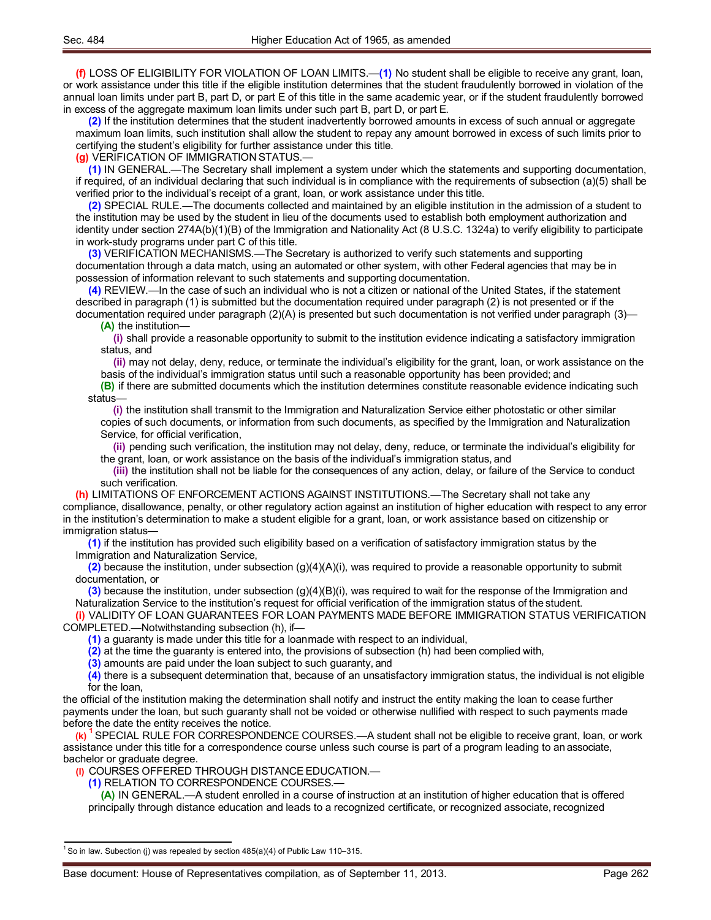**(f)** LOSS OF ELIGIBILITY FOR VIOLATION OF LOAN LIMITS.—**(1)** No student shall be eligible to receive any grant, loan, or work assistance under this title if the eligible institution determines that the student fraudulently borrowed in violation of the annual loan limits under part B, part D, or part E of this title in the same academic year, or if the student fraudulently borrowed in excess of the aggregate maximum loan limits under such part B, part D, or part E.

**(2)** If the institution determines that the student inadvertently borrowed amounts in excess of such annual or aggregate maximum loan limits, such institution shall allow the student to repay any amount borrowed in excess of such limits prior to certifying the student's eligibility for further assistance under this title.

**(g)** VERIFICATION OF IMMIGRATION STATUS.—

**(1)** IN GENERAL.—The Secretary shall implement a system under which the statements and supporting documentation, if required, of an individual declaring that such individual is in compliance with the requirements of subsection (a)(5) shall be verified prior to the individual's receipt of a grant, loan, or work assistance under this title.

**(2)** SPECIAL RULE.—The documents collected and maintained by an eligible institution in the admission of a student to the institution may be used by the student in lieu of the documents used to establish both employment authorization and identity under section 274A(b)(1)(B) of the Immigration and Nationality Act (8 U.S.C. 1324a) to verify eligibility to participate in work-study programs under part C of this title.

**(3)** VERIFICATION MECHANISMS.—The Secretary is authorized to verify such statements and supporting documentation through a data match, using an automated or other system, with other Federal agencies that may be in possession of information relevant to such statements and supporting documentation.

**(4)** REVIEW.—In the case of such an individual who is not a citizen or national of the United States, if the statement described in paragraph (1) is submitted but the documentation required under paragraph (2) is not presented or if the documentation required under paragraph (2)(A) is presented but such documentation is not verified under paragraph (3)— **(A)** the institution—

**(i)** shall provide a reasonable opportunity to submit to the institution evidence indicating a satisfactory immigration status, and

**(ii)** may not delay, deny, reduce, or terminate the individual's eligibility for the grant, loan, or work assistance on the basis of the individual's immigration status until such a reasonable opportunity has been provided; and

**(B)** if there are submitted documents which the institution determines constitute reasonable evidence indicating such status—

**(i)** the institution shall transmit to the Immigration and Naturalization Service either photostatic or other similar copies of such documents, or information from such documents, as specified by the Immigration and Naturalization Service, for official verification,

**(ii)** pending such verification, the institution may not delay, deny, reduce, or terminate the individual's eligibility for the grant, loan, or work assistance on the basis of the individual's immigration status, and

**(iii)** the institution shall not be liable for the consequences of any action, delay, or failure of the Service to conduct such verification.

**(h)** LIMITATIONS OF ENFORCEMENT ACTIONS AGAINST INSTITUTIONS.—The Secretary shall not take any compliance, disallowance, penalty, or other regulatory action against an institution of higher education with respect to any error in the institution's determination to make a student eligible for a grant, loan, or work assistance based on citizenship or immigration status—

**(1)** if the institution has provided such eligibility based on a verification of satisfactory immigration status by the Immigration and Naturalization Service,

**(2)** because the institution, under subsection (g)(4)(A)(i), was required to provide a reasonable opportunity to submit documentation, or

**(3)** because the institution, under subsection (g)(4)(B)(i), was required to wait for the response of the Immigration and Naturalization Service to the institution's request for official verification of the immigration status of the student. **(i)** VALIDITY OF LOAN GUARANTEES FOR LOAN PAYMENTS MADE BEFORE IMMIGRATION STATUS VERIFICATION

COMPLETED.—Notwithstanding subsection (h), if—

**(1)** a guaranty is made under this title for a loanmade with respect to an individual,

**(2)** at the time the guaranty is entered into, the provisions of subsection (h) had been complied with,

**(3)** amounts are paid under the loan subject to such guaranty, and

**(4)** there is a subsequent determination that, because of an unsatisfactory immigration status, the individual is not eligible for the loan,

the official of the institution making the determination shall notify and instruct the entity making the loan to cease further payments under the loan, but such guaranty shall not be voided or otherwise nullified with respect to such payments made before the date the entity receives the notice.

**(k) <sup>1</sup>** SPECIAL RULE FOR CORRESPONDENCE COURSES.—A student shall not be eligible to receive grant, loan, or work assistance under this title for a correspondence course unless such course is part of a program leading to an associate, bachelor or graduate degree.

**(l)** COURSES OFFERED THROUGH DISTANCE EDUCATION.—

**(1)** RELATION TO CORRESPONDENCE COURSES.—

**(A)** IN GENERAL.—A student enrolled in a course of instruction at an institution of higher education that is offered principally through distance education and leads to a recognized certificate, or recognized associate, recognized

 $^1$  So in law. Subection (j) was repealed by section 485(a)(4) of Public Law 110–315.

Base document: House of Representatives compilation, as of September 11, 2013. The example of Page 262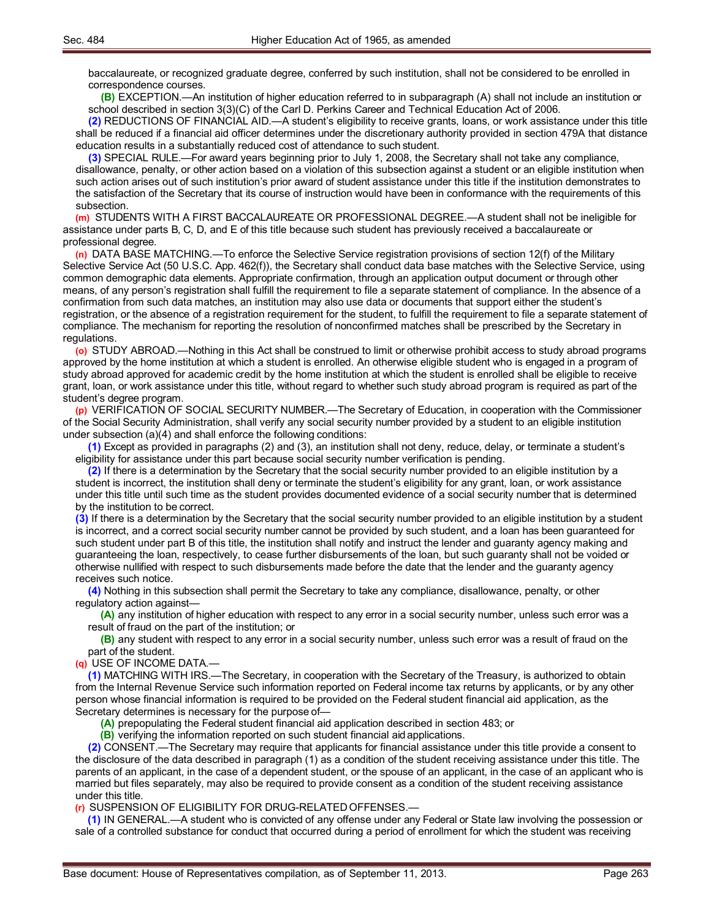baccalaureate, or recognized graduate degree, conferred by such institution, shall not be considered to be enrolled in correspondence courses.

**(B)** EXCEPTION.—An institution of higher education referred to in subparagraph (A) shall not include an institution or school described in section 3(3)(C) of the Carl D. Perkins Career and Technical Education Act of 2006.

**(2)** REDUCTIONS OF FINANCIAL AID.—A student's eligibility to receive grants, loans, or work assistance under this title shall be reduced if a financial aid officer determines under the discretionary authority provided in section 479A that distance education results in a substantially reduced cost of attendance to such student.

**(3)** SPECIAL RULE.—For award years beginning prior to July 1, 2008, the Secretary shall not take any compliance, disallowance, penalty, or other action based on a violation of this subsection against a student or an eligible institution when such action arises out of such institution's prior award of student assistance under this title if the institution demonstrates to the satisfaction of the Secretary that its course of instruction would have been in conformance with the requirements of this subsection.

**(m)** STUDENTS WITH A FIRST BACCALAUREATE OR PROFESSIONAL DEGREE.—A student shall not be ineligible for assistance under parts B, C, D, and E of this title because such student has previously received a baccalaureate or professional degree.

**(n)** DATA BASE MATCHING.—To enforce the Selective Service registration provisions of section 12(f) of the Military Selective Service Act (50 U.S.C. App. 462(f)), the Secretary shall conduct data base matches with the Selective Service, using common demographic data elements. Appropriate confirmation, through an application output document or through other means, of any person's registration shall fulfill the requirement to file a separate statement of compliance. In the absence of a confirmation from such data matches, an institution may also use data or documents that support either the student's registration, or the absence of a registration requirement for the student, to fulfill the requirement to file a separate statement of compliance. The mechanism for reporting the resolution of nonconfirmed matches shall be prescribed by the Secretary in regulations.

**(o)** STUDY ABROAD.—Nothing in this Act shall be construed to limit or otherwise prohibit access to study abroad programs approved by the home institution at which a student is enrolled. An otherwise eligible student who is engaged in a program of study abroad approved for academic credit by the home institution at which the student is enrolled shall be eligible to receive grant, loan, or work assistance under this title, without regard to whether such study abroad program is required as part of the student's degree program.

**(p)** VERIFICATION OF SOCIAL SECURITY NUMBER.—The Secretary of Education, in cooperation with the Commissioner of the Social Security Administration, shall verify any social security number provided by a student to an eligible institution under subsection (a)(4) and shall enforce the following conditions:

**(1)** Except as provided in paragraphs (2) and (3), an institution shall not deny, reduce, delay, or terminate a student's eligibility for assistance under this part because social security number verification is pending.

**(2)** If there is a determination by the Secretary that the social security number provided to an eligible institution by a student is incorrect, the institution shall deny or terminate the student's eligibility for any grant, loan, or work assistance under this title until such time as the student provides documented evidence of a social security number that is determined by the institution to be correct.

**(3)** If there is a determination by the Secretary that the social security number provided to an eligible institution by a student is incorrect, and a correct social security number cannot be provided by such student, and a loan has been guaranteed for such student under part B of this title, the institution shall notify and instruct the lender and guaranty agency making and guaranteeing the loan, respectively, to cease further disbursements of the loan, but such guaranty shall not be voided or otherwise nullified with respect to such disbursements made before the date that the lender and the guaranty agency receives such notice.

**(4)** Nothing in this subsection shall permit the Secretary to take any compliance, disallowance, penalty, or other regulatory action against—

**(A)** any institution of higher education with respect to any error in a social security number, unless such error was a result of fraud on the part of the institution; or

**(B)** any student with respect to any error in a social security number, unless such error was a result of fraud on the part of the student.

**(q)** USE OF INCOME DATA.—

**(1)** MATCHING WITH IRS.—The Secretary, in cooperation with the Secretary of the Treasury, is authorized to obtain from the Internal Revenue Service such information reported on Federal income tax returns by applicants, or by any other person whose financial information is required to be provided on the Federal student financial aid application, as the Secretary determines is necessary for the purpose of—

**(A)** prepopulating the Federal student financial aid application described in section 483; or

**(B)** verifying the information reported on such student financial aidapplications.

**(2)** CONSENT.—The Secretary may require that applicants for financial assistance under this title provide a consent to the disclosure of the data described in paragraph (1) as a condition of the student receiving assistance under this title. The parents of an applicant, in the case of a dependent student, or the spouse of an applicant, in the case of an applicant who is married but files separately, may also be required to provide consent as a condition of the student receiving assistance under this title.

**(r)** SUSPENSION OF ELIGIBILITY FOR DRUG-RELATEDOFFENSES.—

**(1)** IN GENERAL.—A student who is convicted of any offense under any Federal or State law involving the possession or sale of a controlled substance for conduct that occurred during a period of enrollment for which the student was receiving